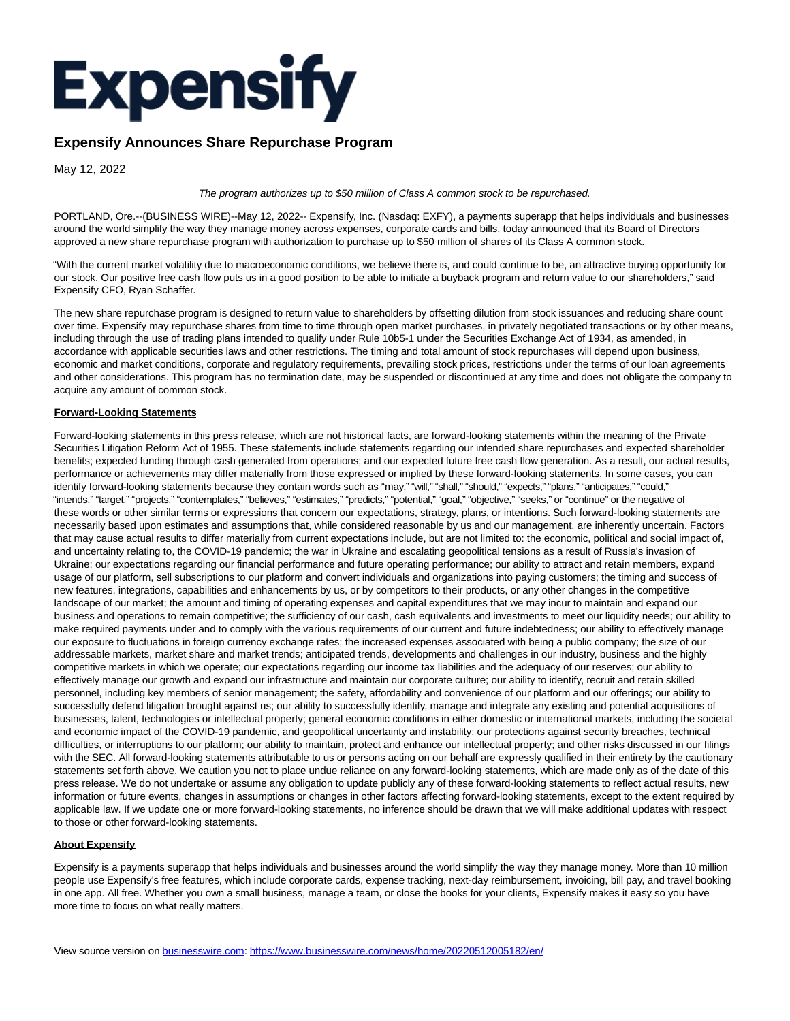

## **Expensify Announces Share Repurchase Program**

May 12, 2022

The program authorizes up to \$50 million of Class A common stock to be repurchased.

PORTLAND, Ore.--(BUSINESS WIRE)--May 12, 2022-- Expensify, Inc. (Nasdaq: EXFY), a payments superapp that helps individuals and businesses around the world simplify the way they manage money across expenses, corporate cards and bills, today announced that its Board of Directors approved a new share repurchase program with authorization to purchase up to \$50 million of shares of its Class A common stock.

"With the current market volatility due to macroeconomic conditions, we believe there is, and could continue to be, an attractive buying opportunity for our stock. Our positive free cash flow puts us in a good position to be able to initiate a buyback program and return value to our shareholders," said Expensify CFO, Ryan Schaffer.

The new share repurchase program is designed to return value to shareholders by offsetting dilution from stock issuances and reducing share count over time. Expensify may repurchase shares from time to time through open market purchases, in privately negotiated transactions or by other means, including through the use of trading plans intended to qualify under Rule 10b5-1 under the Securities Exchange Act of 1934, as amended, in accordance with applicable securities laws and other restrictions. The timing and total amount of stock repurchases will depend upon business, economic and market conditions, corporate and regulatory requirements, prevailing stock prices, restrictions under the terms of our loan agreements and other considerations. This program has no termination date, may be suspended or discontinued at any time and does not obligate the company to acquire any amount of common stock.

## **Forward-Looking Statements**

Forward-looking statements in this press release, which are not historical facts, are forward-looking statements within the meaning of the Private Securities Litigation Reform Act of 1955. These statements include statements regarding our intended share repurchases and expected shareholder benefits; expected funding through cash generated from operations; and our expected future free cash flow generation. As a result, our actual results, performance or achievements may differ materially from those expressed or implied by these forward-looking statements. In some cases, you can identify forward-looking statements because they contain words such as "may," "will," "shall," "should," "expects," "plans," "anticipates," "could," "intends," "target," "projects," "contemplates," "believes," "estimates," "predicts," "potential," "goal," "objective," "seeks," or "continue" or the negative of these words or other similar terms or expressions that concern our expectations, strategy, plans, or intentions. Such forward-looking statements are necessarily based upon estimates and assumptions that, while considered reasonable by us and our management, are inherently uncertain. Factors that may cause actual results to differ materially from current expectations include, but are not limited to: the economic, political and social impact of, and uncertainty relating to, the COVID-19 pandemic; the war in Ukraine and escalating geopolitical tensions as a result of Russia's invasion of Ukraine; our expectations regarding our financial performance and future operating performance; our ability to attract and retain members, expand usage of our platform, sell subscriptions to our platform and convert individuals and organizations into paying customers; the timing and success of new features, integrations, capabilities and enhancements by us, or by competitors to their products, or any other changes in the competitive landscape of our market; the amount and timing of operating expenses and capital expenditures that we may incur to maintain and expand our business and operations to remain competitive; the sufficiency of our cash, cash equivalents and investments to meet our liquidity needs; our ability to make required payments under and to comply with the various requirements of our current and future indebtedness; our ability to effectively manage our exposure to fluctuations in foreign currency exchange rates; the increased expenses associated with being a public company; the size of our addressable markets, market share and market trends; anticipated trends, developments and challenges in our industry, business and the highly competitive markets in which we operate; our expectations regarding our income tax liabilities and the adequacy of our reserves; our ability to effectively manage our growth and expand our infrastructure and maintain our corporate culture; our ability to identify, recruit and retain skilled personnel, including key members of senior management; the safety, affordability and convenience of our platform and our offerings; our ability to successfully defend litigation brought against us; our ability to successfully identify, manage and integrate any existing and potential acquisitions of businesses, talent, technologies or intellectual property; general economic conditions in either domestic or international markets, including the societal and economic impact of the COVID-19 pandemic, and geopolitical uncertainty and instability; our protections against security breaches, technical difficulties, or interruptions to our platform; our ability to maintain, protect and enhance our intellectual property; and other risks discussed in our filings with the SEC. All forward-looking statements attributable to us or persons acting on our behalf are expressly qualified in their entirety by the cautionary statements set forth above. We caution you not to place undue reliance on any forward-looking statements, which are made only as of the date of this press release. We do not undertake or assume any obligation to update publicly any of these forward-looking statements to reflect actual results, new information or future events, changes in assumptions or changes in other factors affecting forward-looking statements, except to the extent required by applicable law. If we update one or more forward-looking statements, no inference should be drawn that we will make additional updates with respect to those or other forward-looking statements.

## **About Expensify**

Expensify is a payments superapp that helps individuals and businesses around the world simplify the way they manage money. More than 10 million people use Expensify's free features, which include corporate cards, expense tracking, next-day reimbursement, invoicing, bill pay, and travel booking in one app. All free. Whether you own a small business, manage a team, or close the books for your clients, Expensify makes it easy so you have more time to focus on what really matters.